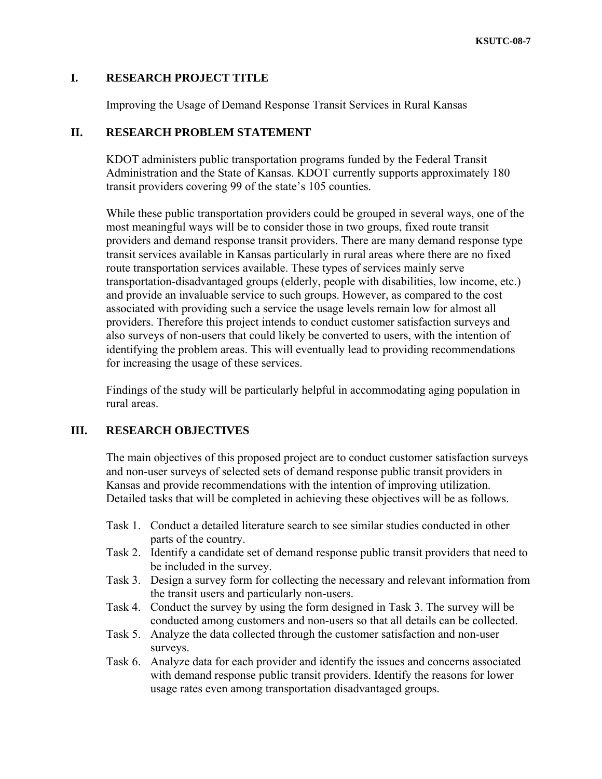# **I. RESEARCH PROJECT TITLE**

Improving the Usage of Demand Response Transit Services in Rural Kansas

### **II. RESEARCH PROBLEM STATEMENT**

KDOT administers public transportation programs funded by the Federal Transit Administration and the State of Kansas. KDOT currently supports approximately 180 transit providers covering 99 of the state's 105 counties.

While these public transportation providers could be grouped in several ways, one of the most meaningful ways will be to consider those in two groups, fixed route transit providers and demand response transit providers. There are many demand response type transit services available in Kansas particularly in rural areas where there are no fixed route transportation services available. These types of services mainly serve transportation-disadvantaged groups (elderly, people with disabilities, low income, etc.) and provide an invaluable service to such groups. However, as compared to the cost associated with providing such a service the usage levels remain low for almost all providers. Therefore this project intends to conduct customer satisfaction surveys and also surveys of non-users that could likely be converted to users, with the intention of identifying the problem areas. This will eventually lead to providing recommendations for increasing the usage of these services.

Findings of the study will be particularly helpful in accommodating aging population in rural areas.

# **III. RESEARCH OBJECTIVES**

The main objectives of this proposed project are to conduct customer satisfaction surveys and non-user surveys of selected sets of demand response public transit providers in Kansas and provide recommendations with the intention of improving utilization. Detailed tasks that will be completed in achieving these objectives will be as follows.

- Task 1. Conduct a detailed literature search to see similar studies conducted in other parts of the country.
- Task 2. Identify a candidate set of demand response public transit providers that need to be included in the survey.
- Task 3. Design a survey form for collecting the necessary and relevant information from the transit users and particularly non-users.
- Task 4. Conduct the survey by using the form designed in Task 3. The survey will be conducted among customers and non-users so that all details can be collected.
- Task 5. Analyze the data collected through the customer satisfaction and non-user surveys.
- Task 6. Analyze data for each provider and identify the issues and concerns associated with demand response public transit providers. Identify the reasons for lower usage rates even among transportation disadvantaged groups.